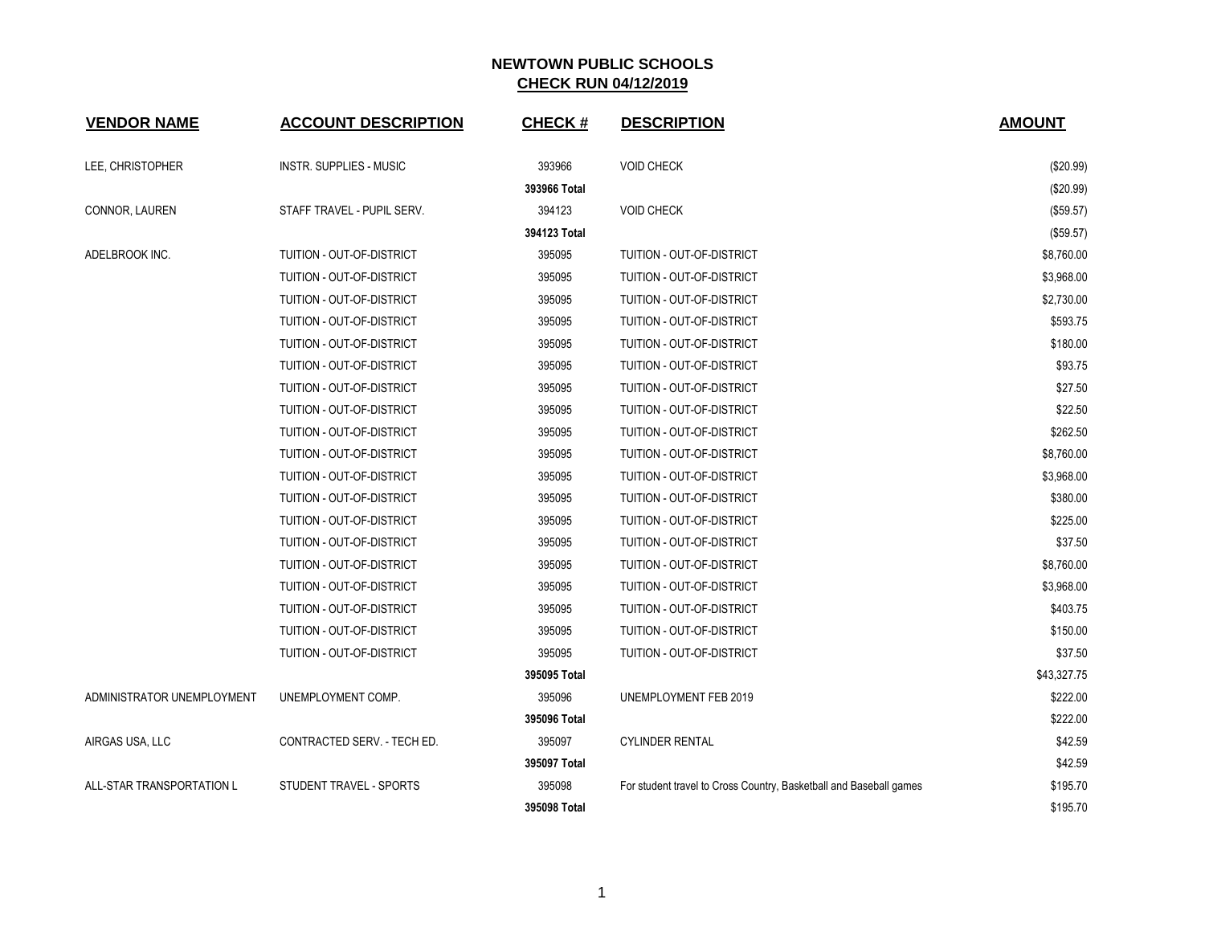| <b>VENDOR NAME</b>         | <b>ACCOUNT DESCRIPTION</b>       | <b>CHECK#</b> | <b>DESCRIPTION</b>                                                 | <b>AMOUNT</b> |
|----------------------------|----------------------------------|---------------|--------------------------------------------------------------------|---------------|
| LEE, CHRISTOPHER           | INSTR. SUPPLIES - MUSIC          | 393966        | <b>VOID CHECK</b>                                                  | $(\$20.99)$   |
|                            |                                  | 393966 Total  |                                                                    | $(\$20.99)$   |
| CONNOR, LAUREN             | STAFF TRAVEL - PUPIL SERV.       | 394123        | <b>VOID CHECK</b>                                                  | (\$59.57)     |
|                            |                                  | 394123 Total  |                                                                    | (\$59.57)     |
| ADELBROOK INC.             | TUITION - OUT-OF-DISTRICT        | 395095        | TUITION - OUT-OF-DISTRICT                                          | \$8,760.00    |
|                            | TUITION - OUT-OF-DISTRICT        | 395095        | TUITION - OUT-OF-DISTRICT                                          | \$3,968.00    |
|                            | TUITION - OUT-OF-DISTRICT        | 395095        | TUITION - OUT-OF-DISTRICT                                          | \$2,730.00    |
|                            | TUITION - OUT-OF-DISTRICT        | 395095        | TUITION - OUT-OF-DISTRICT                                          | \$593.75      |
|                            | TUITION - OUT-OF-DISTRICT        | 395095        | TUITION - OUT-OF-DISTRICT                                          | \$180.00      |
|                            | TUITION - OUT-OF-DISTRICT        | 395095        | TUITION - OUT-OF-DISTRICT                                          | \$93.75       |
|                            | TUITION - OUT-OF-DISTRICT        | 395095        | TUITION - OUT-OF-DISTRICT                                          | \$27.50       |
|                            | TUITION - OUT-OF-DISTRICT        | 395095        | TUITION - OUT-OF-DISTRICT                                          | \$22.50       |
|                            | TUITION - OUT-OF-DISTRICT        | 395095        | TUITION - OUT-OF-DISTRICT                                          | \$262.50      |
|                            | TUITION - OUT-OF-DISTRICT        | 395095        | TUITION - OUT-OF-DISTRICT                                          | \$8,760.00    |
|                            | TUITION - OUT-OF-DISTRICT        | 395095        | TUITION - OUT-OF-DISTRICT                                          | \$3,968.00    |
|                            | TUITION - OUT-OF-DISTRICT        | 395095        | TUITION - OUT-OF-DISTRICT                                          | \$380.00      |
|                            | TUITION - OUT-OF-DISTRICT        | 395095        | TUITION - OUT-OF-DISTRICT                                          | \$225.00      |
|                            | TUITION - OUT-OF-DISTRICT        | 395095        | TUITION - OUT-OF-DISTRICT                                          | \$37.50       |
|                            | TUITION - OUT-OF-DISTRICT        | 395095        | TUITION - OUT-OF-DISTRICT                                          | \$8,760.00    |
|                            | <b>TUITION - OUT-OF-DISTRICT</b> | 395095        | TUITION - OUT-OF-DISTRICT                                          | \$3,968.00    |
|                            | TUITION - OUT-OF-DISTRICT        | 395095        | TUITION - OUT-OF-DISTRICT                                          | \$403.75      |
|                            | TUITION - OUT-OF-DISTRICT        | 395095        | TUITION - OUT-OF-DISTRICT                                          | \$150.00      |
|                            | TUITION - OUT-OF-DISTRICT        | 395095        | TUITION - OUT-OF-DISTRICT                                          | \$37.50       |
|                            |                                  | 395095 Total  |                                                                    | \$43,327.75   |
| ADMINISTRATOR UNEMPLOYMENT | UNEMPLOYMENT COMP.               | 395096        | UNEMPLOYMENT FEB 2019                                              | \$222.00      |
|                            |                                  | 395096 Total  |                                                                    | \$222.00      |
| AIRGAS USA, LLC            | CONTRACTED SERV. - TECH ED.      | 395097        | <b>CYLINDER RENTAL</b>                                             | \$42.59       |
|                            |                                  | 395097 Total  |                                                                    | \$42.59       |
| ALL-STAR TRANSPORTATION L  | STUDENT TRAVEL - SPORTS          | 395098        | For student travel to Cross Country, Basketball and Baseball games | \$195.70      |
|                            |                                  | 395098 Total  |                                                                    | \$195.70      |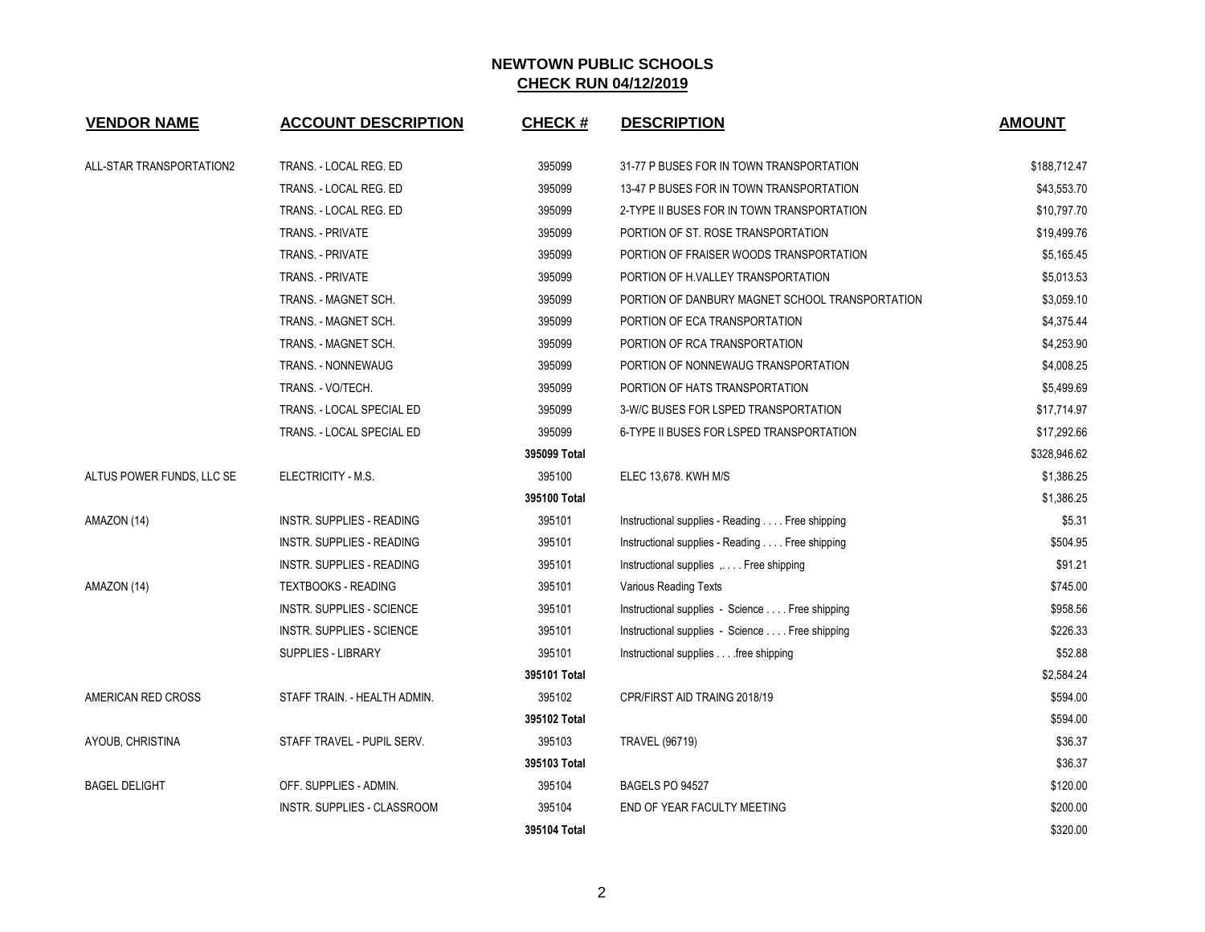| <b>VENDOR NAME</b>        | <b>ACCOUNT DESCRIPTION</b>         | <b>CHECK#</b> | <b>DESCRIPTION</b>                              | <b>AMOUNT</b> |
|---------------------------|------------------------------------|---------------|-------------------------------------------------|---------------|
| ALL-STAR TRANSPORTATION2  | TRANS. - LOCAL REG. ED             | 395099        | 31-77 P BUSES FOR IN TOWN TRANSPORTATION        | \$188,712.47  |
|                           | TRANS. - LOCAL REG. ED             | 395099        | 13-47 P BUSES FOR IN TOWN TRANSPORTATION        | \$43,553.70   |
|                           | TRANS. - LOCAL REG. ED             | 395099        | 2-TYPE II BUSES FOR IN TOWN TRANSPORTATION      | \$10,797.70   |
|                           | TRANS. - PRIVATE                   | 395099        | PORTION OF ST. ROSE TRANSPORTATION              | \$19,499.76   |
|                           | TRANS. - PRIVATE                   | 395099        | PORTION OF FRAISER WOODS TRANSPORTATION         | \$5,165.45    |
|                           | TRANS. - PRIVATE                   | 395099        | PORTION OF H.VALLEY TRANSPORTATION              | \$5,013.53    |
|                           | TRANS. - MAGNET SCH.               | 395099        | PORTION OF DANBURY MAGNET SCHOOL TRANSPORTATION | \$3,059.10    |
|                           | TRANS. - MAGNET SCH.               | 395099        | PORTION OF ECA TRANSPORTATION                   | \$4,375.44    |
|                           | TRANS. - MAGNET SCH.               | 395099        | PORTION OF RCA TRANSPORTATION                   | \$4,253.90    |
|                           | TRANS. - NONNEWAUG                 | 395099        | PORTION OF NONNEWAUG TRANSPORTATION             | \$4,008.25    |
|                           | TRANS. - VO/TECH.                  | 395099        | PORTION OF HATS TRANSPORTATION                  | \$5,499.69    |
|                           | TRANS. - LOCAL SPECIAL ED          | 395099        | 3-W/C BUSES FOR LSPED TRANSPORTATION            | \$17,714.97   |
|                           | TRANS. - LOCAL SPECIAL ED          | 395099        | 6-TYPE II BUSES FOR LSPED TRANSPORTATION        | \$17,292.66   |
|                           |                                    | 395099 Total  |                                                 | \$328,946.62  |
| ALTUS POWER FUNDS, LLC SE | ELECTRICITY - M.S.                 | 395100        | ELEC 13,678. KWH M/S                            | \$1,386.25    |
|                           |                                    | 395100 Total  |                                                 | \$1,386.25    |
| AMAZON (14)               | INSTR. SUPPLIES - READING          | 395101        | Instructional supplies - Reading Free shipping  | \$5.31        |
|                           | INSTR. SUPPLIES - READING          | 395101        | Instructional supplies - Reading Free shipping  | \$504.95      |
|                           | INSTR. SUPPLIES - READING          | 395101        | Instructional supplies  Free shipping           | \$91.21       |
| AMAZON (14)               | <b>TEXTBOOKS - READING</b>         | 395101        | <b>Various Reading Texts</b>                    | \$745.00      |
|                           | INSTR. SUPPLIES - SCIENCE          | 395101        | Instructional supplies - Science  Free shipping | \$958.56      |
|                           | <b>INSTR. SUPPLIES - SCIENCE</b>   | 395101        | Instructional supplies - Science Free shipping  | \$226.33      |
|                           | SUPPLIES - LIBRARY                 | 395101        | Instructional supplies free shipping            | \$52.88       |
|                           |                                    | 395101 Total  |                                                 | \$2,584.24    |
| AMERICAN RED CROSS        | STAFF TRAIN. - HEALTH ADMIN.       | 395102        | CPR/FIRST AID TRAING 2018/19                    | \$594.00      |
|                           |                                    | 395102 Total  |                                                 | \$594.00      |
| AYOUB, CHRISTINA          | STAFF TRAVEL - PUPIL SERV.         | 395103        | <b>TRAVEL (96719)</b>                           | \$36.37       |
|                           |                                    | 395103 Total  |                                                 | \$36.37       |
| <b>BAGEL DELIGHT</b>      | OFF. SUPPLIES - ADMIN.             | 395104        | BAGELS PO 94527                                 | \$120.00      |
|                           | <b>INSTR. SUPPLIES - CLASSROOM</b> | 395104        | END OF YEAR FACULTY MEETING                     | \$200.00      |
|                           |                                    | 395104 Total  |                                                 | \$320.00      |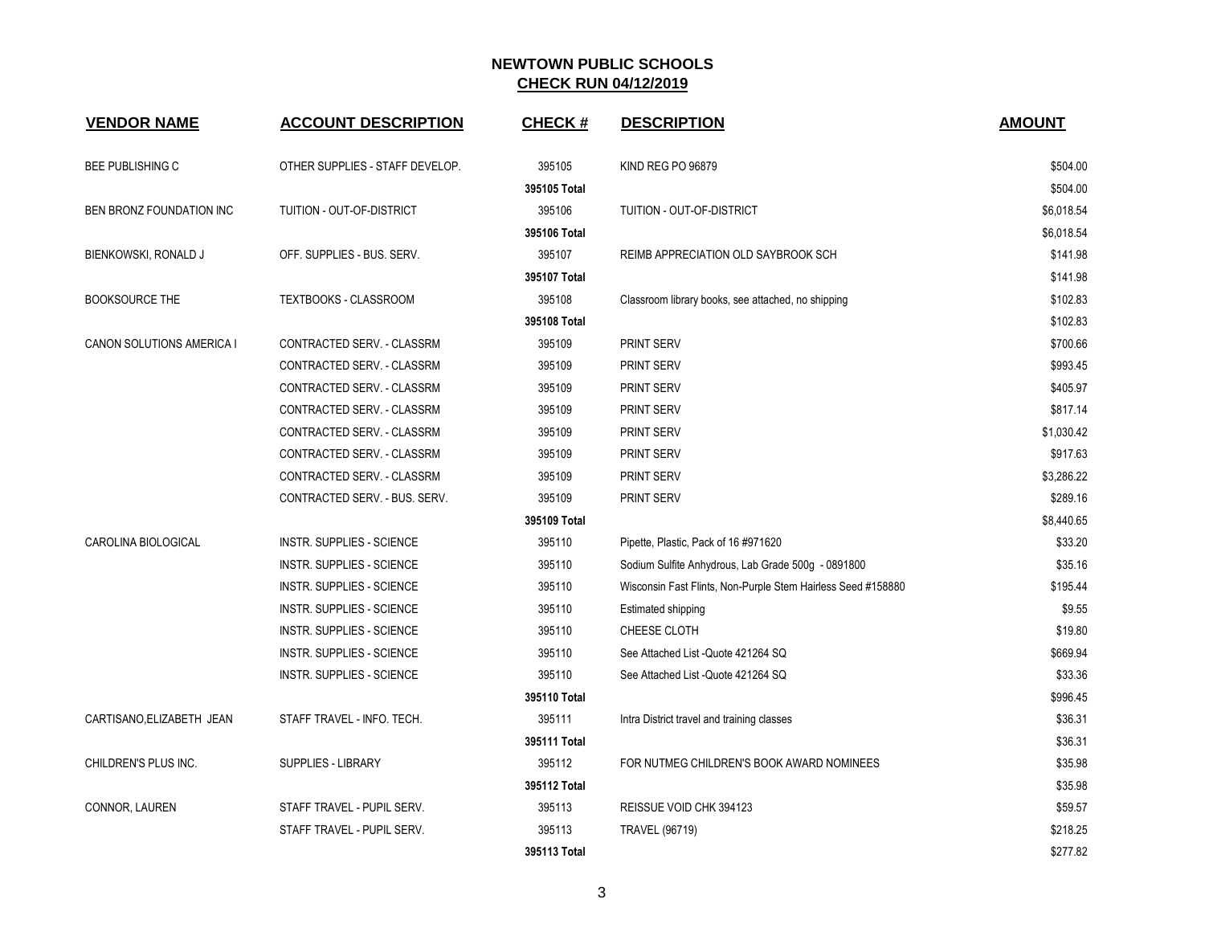| <b>VENDOR NAME</b>        | <b>ACCOUNT DESCRIPTION</b>       | <b>CHECK#</b> | <b>DESCRIPTION</b>                                           | <b>AMOUNT</b> |
|---------------------------|----------------------------------|---------------|--------------------------------------------------------------|---------------|
| BEE PUBLISHING C          | OTHER SUPPLIES - STAFF DEVELOP.  | 395105        | KIND REG PO 96879                                            | \$504.00      |
|                           |                                  | 395105 Total  |                                                              | \$504.00      |
| BEN BRONZ FOUNDATION INC  | TUITION - OUT-OF-DISTRICT        | 395106        | TUITION - OUT-OF-DISTRICT                                    | \$6,018.54    |
|                           |                                  | 395106 Total  |                                                              | \$6,018.54    |
| BIENKOWSKI, RONALD J      | OFF. SUPPLIES - BUS. SERV.       | 395107        | REIMB APPRECIATION OLD SAYBROOK SCH                          | \$141.98      |
|                           |                                  | 395107 Total  |                                                              | \$141.98      |
| <b>BOOKSOURCE THE</b>     | TEXTBOOKS - CLASSROOM            | 395108        | Classroom library books, see attached, no shipping           | \$102.83      |
|                           |                                  | 395108 Total  |                                                              | \$102.83      |
| CANON SOLUTIONS AMERICA I | CONTRACTED SERV. - CLASSRM       | 395109        | PRINT SERV                                                   | \$700.66      |
|                           | CONTRACTED SERV. - CLASSRM       | 395109        | PRINT SERV                                                   | \$993.45      |
|                           | CONTRACTED SERV. - CLASSRM       | 395109        | PRINT SERV                                                   | \$405.97      |
|                           | CONTRACTED SERV. - CLASSRM       | 395109        | <b>PRINT SERV</b>                                            | \$817.14      |
|                           | CONTRACTED SERV. - CLASSRM       | 395109        | <b>PRINT SERV</b>                                            | \$1,030.42    |
|                           | CONTRACTED SERV. - CLASSRM       | 395109        | PRINT SERV                                                   | \$917.63      |
|                           | CONTRACTED SERV. - CLASSRM       | 395109        | <b>PRINT SERV</b>                                            | \$3,286.22    |
|                           | CONTRACTED SERV. - BUS. SERV.    | 395109        | <b>PRINT SERV</b>                                            | \$289.16      |
|                           |                                  | 395109 Total  |                                                              | \$8,440.65    |
| CAROLINA BIOLOGICAL       | INSTR. SUPPLIES - SCIENCE        | 395110        | Pipette, Plastic, Pack of 16 #971620                         | \$33.20       |
|                           | <b>INSTR. SUPPLIES - SCIENCE</b> | 395110        | Sodium Sulfite Anhydrous, Lab Grade 500g - 0891800           | \$35.16       |
|                           | <b>INSTR. SUPPLIES - SCIENCE</b> | 395110        | Wisconsin Fast Flints, Non-Purple Stem Hairless Seed #158880 | \$195.44      |
|                           | <b>INSTR. SUPPLIES - SCIENCE</b> | 395110        | Estimated shipping                                           | \$9.55        |
|                           | <b>INSTR. SUPPLIES - SCIENCE</b> | 395110        | CHEESE CLOTH                                                 | \$19.80       |
|                           | INSTR. SUPPLIES - SCIENCE        | 395110        | See Attached List - Quote 421264 SQ                          | \$669.94      |
|                           | <b>INSTR. SUPPLIES - SCIENCE</b> | 395110        | See Attached List - Quote 421264 SQ                          | \$33.36       |
|                           |                                  | 395110 Total  |                                                              | \$996.45      |
| CARTISANO, ELIZABETH JEAN | STAFF TRAVEL - INFO. TECH.       | 395111        | Intra District travel and training classes                   | \$36.31       |
|                           |                                  | 395111 Total  |                                                              | \$36.31       |
| CHILDREN'S PLUS INC.      | SUPPLIES - LIBRARY               | 395112        | FOR NUTMEG CHILDREN'S BOOK AWARD NOMINEES                    | \$35.98       |
|                           |                                  | 395112 Total  |                                                              | \$35.98       |
| CONNOR, LAUREN            | STAFF TRAVEL - PUPIL SERV.       | 395113        | REISSUE VOID CHK 394123                                      | \$59.57       |
|                           | STAFF TRAVEL - PUPIL SERV.       | 395113        | <b>TRAVEL (96719)</b>                                        | \$218.25      |
|                           |                                  | 395113 Total  |                                                              | \$277.82      |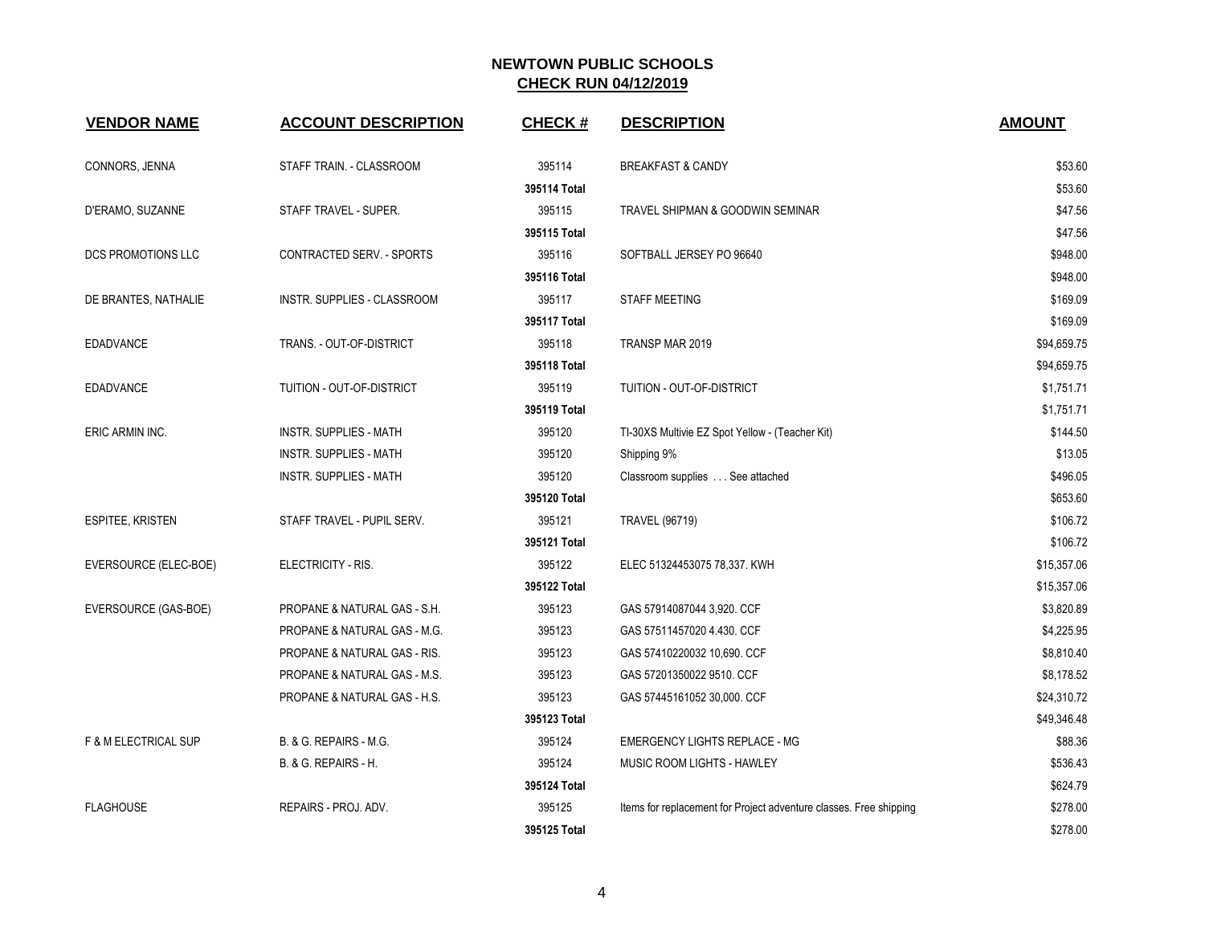| <b>VENDOR NAME</b>              | <b>ACCOUNT DESCRIPTION</b>    | <b>CHECK#</b> | <b>DESCRIPTION</b>                                                 | <b>AMOUNT</b> |
|---------------------------------|-------------------------------|---------------|--------------------------------------------------------------------|---------------|
| CONNORS, JENNA                  | STAFF TRAIN. - CLASSROOM      | 395114        | <b>BREAKFAST &amp; CANDY</b>                                       | \$53.60       |
|                                 |                               | 395114 Total  |                                                                    | \$53.60       |
| D'ERAMO, SUZANNE                | STAFF TRAVEL - SUPER.         | 395115        | TRAVEL SHIPMAN & GOODWIN SEMINAR                                   | \$47.56       |
|                                 |                               | 395115 Total  |                                                                    | \$47.56       |
| DCS PROMOTIONS LLC              | CONTRACTED SERV. - SPORTS     | 395116        | SOFTBALL JERSEY PO 96640                                           | \$948.00      |
|                                 |                               | 395116 Total  |                                                                    | \$948.00      |
| DE BRANTES, NATHALIE            | INSTR. SUPPLIES - CLASSROOM   | 395117        | <b>STAFF MEETING</b>                                               | \$169.09      |
|                                 |                               | 395117 Total  |                                                                    | \$169.09      |
| <b>EDADVANCE</b>                | TRANS. - OUT-OF-DISTRICT      | 395118        | TRANSP MAR 2019                                                    | \$94,659.75   |
|                                 |                               | 395118 Total  |                                                                    | \$94,659.75   |
| <b>EDADVANCE</b>                | TUITION - OUT-OF-DISTRICT     | 395119        | TUITION - OUT-OF-DISTRICT                                          | \$1,751.71    |
|                                 |                               | 395119 Total  |                                                                    | \$1,751.71    |
| ERIC ARMIN INC.                 | <b>INSTR. SUPPLIES - MATH</b> | 395120        | TI-30XS Multivie EZ Spot Yellow - (Teacher Kit)                    | \$144.50      |
|                                 | <b>INSTR. SUPPLIES - MATH</b> | 395120        | Shipping 9%                                                        | \$13.05       |
|                                 | <b>INSTR. SUPPLIES - MATH</b> | 395120        | Classroom supplies See attached                                    | \$496.05      |
|                                 |                               | 395120 Total  |                                                                    | \$653.60      |
| <b>ESPITEE, KRISTEN</b>         | STAFF TRAVEL - PUPIL SERV.    | 395121        | <b>TRAVEL (96719)</b>                                              | \$106.72      |
|                                 |                               | 395121 Total  |                                                                    | \$106.72      |
| EVERSOURCE (ELEC-BOE)           | ELECTRICITY - RIS.            | 395122        | ELEC 51324453075 78,337. KWH                                       | \$15,357.06   |
|                                 |                               | 395122 Total  |                                                                    | \$15,357.06   |
| EVERSOURCE (GAS-BOE)            | PROPANE & NATURAL GAS - S.H.  | 395123        | GAS 57914087044 3,920. CCF                                         | \$3,820.89    |
|                                 | PROPANE & NATURAL GAS - M.G.  | 395123        | GAS 57511457020 4.430. CCF                                         | \$4,225.95    |
|                                 | PROPANE & NATURAL GAS - RIS.  | 395123        | GAS 57410220032 10,690. CCF                                        | \$8,810.40    |
|                                 | PROPANE & NATURAL GAS - M.S.  | 395123        | GAS 57201350022 9510. CCF                                          | \$8,178.52    |
|                                 | PROPANE & NATURAL GAS - H.S.  | 395123        | GAS 57445161052 30,000. CCF                                        | \$24,310.72   |
|                                 |                               | 395123 Total  |                                                                    | \$49,346.48   |
| <b>F &amp; M ELECTRICAL SUP</b> | B. & G. REPAIRS - M.G.        | 395124        | <b>EMERGENCY LIGHTS REPLACE - MG</b>                               | \$88.36       |
|                                 | B. & G. REPAIRS - H.          | 395124        | MUSIC ROOM LIGHTS - HAWLEY                                         | \$536.43      |
|                                 |                               | 395124 Total  |                                                                    | \$624.79      |
| <b>FLAGHOUSE</b>                | REPAIRS - PROJ. ADV.          | 395125        | Items for replacement for Project adventure classes. Free shipping | \$278.00      |
|                                 |                               | 395125 Total  |                                                                    | \$278.00      |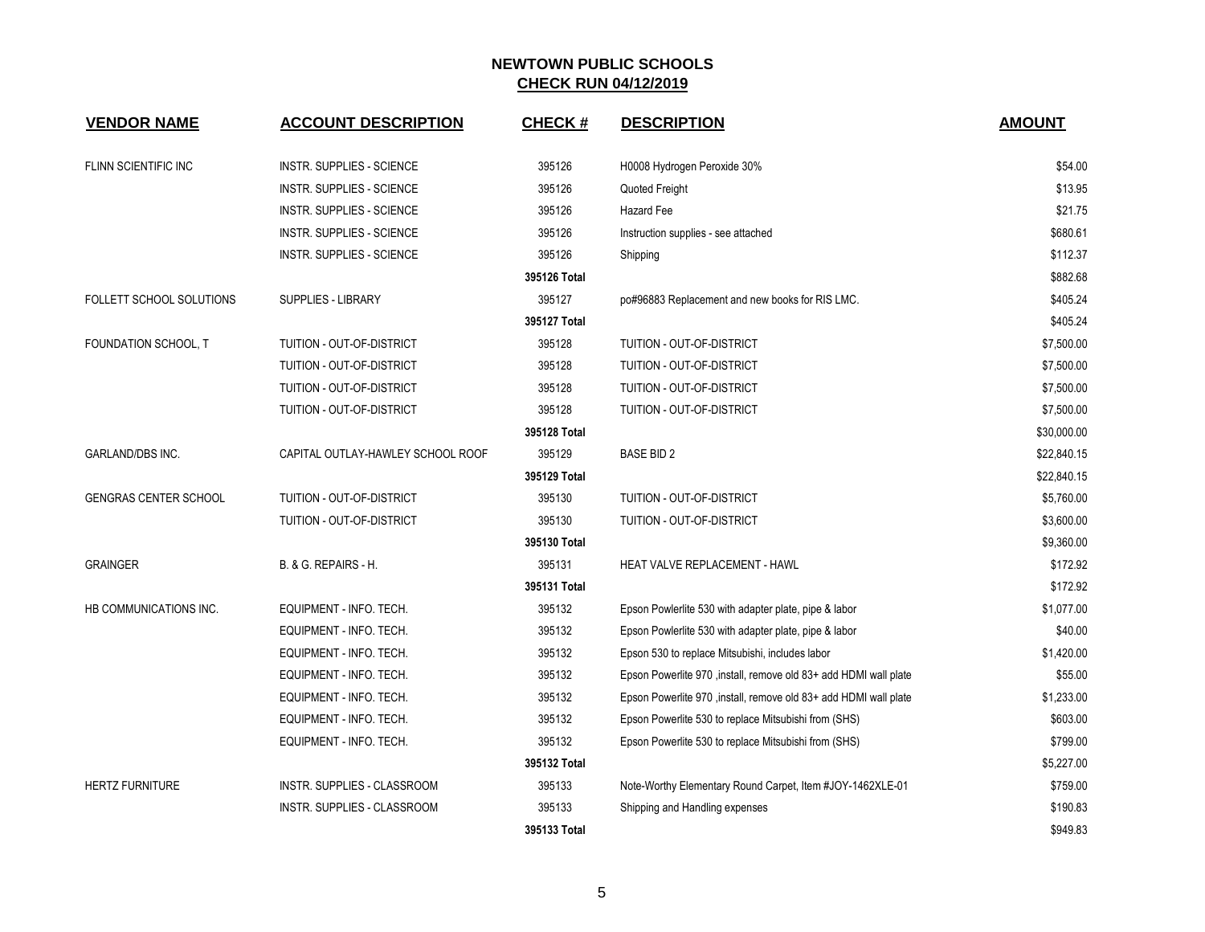| <b>VENDOR NAME</b>           | <b>ACCOUNT DESCRIPTION</b>        | <b>CHECK#</b> | <b>DESCRIPTION</b>                                               | <b>AMOUNT</b> |
|------------------------------|-----------------------------------|---------------|------------------------------------------------------------------|---------------|
| FLINN SCIENTIFIC INC         | <b>INSTR. SUPPLIES - SCIENCE</b>  | 395126        | H0008 Hydrogen Peroxide 30%                                      | \$54.00       |
|                              | <b>INSTR. SUPPLIES - SCIENCE</b>  | 395126        | Quoted Freight                                                   | \$13.95       |
|                              | <b>INSTR. SUPPLIES - SCIENCE</b>  | 395126        | <b>Hazard Fee</b>                                                | \$21.75       |
|                              | INSTR. SUPPLIES - SCIENCE         | 395126        | Instruction supplies - see attached                              | \$680.61      |
|                              | INSTR. SUPPLIES - SCIENCE         | 395126        | Shipping                                                         | \$112.37      |
|                              |                                   | 395126 Total  |                                                                  | \$882.68      |
| FOLLETT SCHOOL SOLUTIONS     | SUPPLIES - LIBRARY                | 395127        | po#96883 Replacement and new books for RIS LMC.                  | \$405.24      |
|                              |                                   | 395127 Total  |                                                                  | \$405.24      |
| FOUNDATION SCHOOL, T         | TUITION - OUT-OF-DISTRICT         | 395128        | TUITION - OUT-OF-DISTRICT                                        | \$7,500.00    |
|                              | TUITION - OUT-OF-DISTRICT         | 395128        | TUITION - OUT-OF-DISTRICT                                        | \$7,500.00    |
|                              | TUITION - OUT-OF-DISTRICT         | 395128        | <b>TUITION - OUT-OF-DISTRICT</b>                                 | \$7,500.00    |
|                              | TUITION - OUT-OF-DISTRICT         | 395128        | TUITION - OUT-OF-DISTRICT                                        | \$7,500.00    |
|                              |                                   | 395128 Total  |                                                                  | \$30,000.00   |
| <b>GARLAND/DBS INC.</b>      | CAPITAL OUTLAY-HAWLEY SCHOOL ROOF | 395129        | <b>BASE BID 2</b>                                                | \$22,840.15   |
|                              |                                   | 395129 Total  |                                                                  | \$22,840.15   |
| <b>GENGRAS CENTER SCHOOL</b> | TUITION - OUT-OF-DISTRICT         | 395130        | TUITION - OUT-OF-DISTRICT                                        | \$5,760.00    |
|                              | TUITION - OUT-OF-DISTRICT         | 395130        | TUITION - OUT-OF-DISTRICT                                        | \$3,600.00    |
|                              |                                   | 395130 Total  |                                                                  | \$9,360.00    |
| <b>GRAINGER</b>              | B. & G. REPAIRS - H.              | 395131        | <b>HEAT VALVE REPLACEMENT - HAWL</b>                             | \$172.92      |
|                              |                                   | 395131 Total  |                                                                  | \$172.92      |
| HB COMMUNICATIONS INC.       | EQUIPMENT - INFO. TECH.           | 395132        | Epson Powlerlite 530 with adapter plate, pipe & labor            | \$1,077.00    |
|                              | EQUIPMENT - INFO. TECH.           | 395132        | Epson Powlerlite 530 with adapter plate, pipe & labor            | \$40.00       |
|                              | EQUIPMENT - INFO. TECH.           | 395132        | Epson 530 to replace Mitsubishi, includes labor                  | \$1,420.00    |
|                              | EQUIPMENT - INFO. TECH.           | 395132        | Epson Powerlite 970, install, remove old 83+ add HDMI wall plate | \$55.00       |
|                              | EQUIPMENT - INFO. TECH.           | 395132        | Epson Powerlite 970, install, remove old 83+ add HDMI wall plate | \$1,233.00    |
|                              | EQUIPMENT - INFO. TECH.           | 395132        | Epson Powerlite 530 to replace Mitsubishi from (SHS)             | \$603.00      |
|                              | EQUIPMENT - INFO. TECH.           | 395132        | Epson Powerlite 530 to replace Mitsubishi from (SHS)             | \$799.00      |
|                              |                                   | 395132 Total  |                                                                  | \$5,227.00    |
| <b>HERTZ FURNITURE</b>       | INSTR. SUPPLIES - CLASSROOM       | 395133        | Note-Worthy Elementary Round Carpet, Item #JOY-1462XLE-01        | \$759.00      |
|                              | INSTR. SUPPLIES - CLASSROOM       | 395133        | Shipping and Handling expenses                                   | \$190.83      |
|                              |                                   | 395133 Total  |                                                                  | \$949.83      |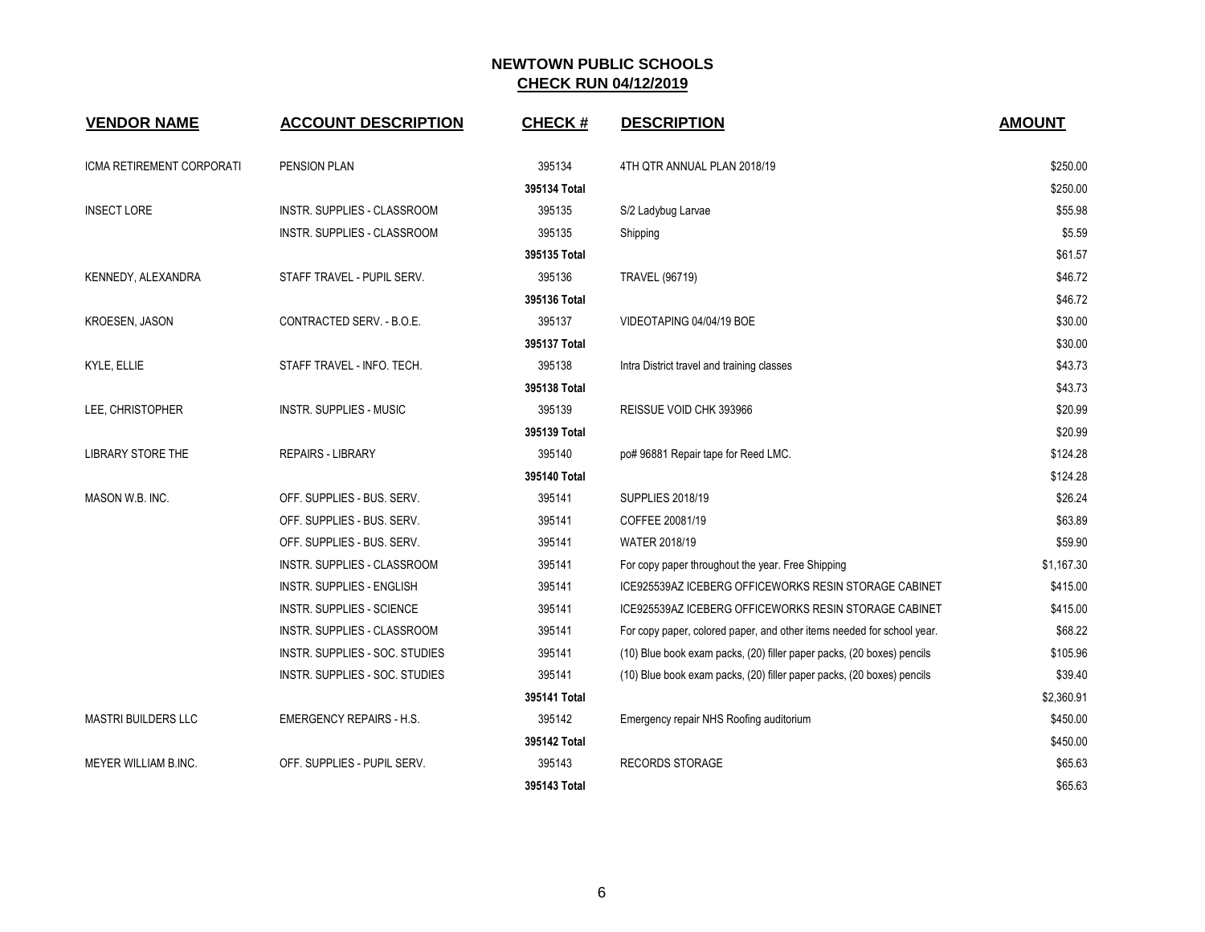| <b>VENDOR NAME</b>         | <b>ACCOUNT DESCRIPTION</b>       | <b>CHECK#</b> | <b>DESCRIPTION</b>                                                     | <b>AMOUNT</b> |
|----------------------------|----------------------------------|---------------|------------------------------------------------------------------------|---------------|
| ICMA RETIREMENT CORPORATI  | PENSION PLAN                     | 395134        | 4TH QTR ANNUAL PLAN 2018/19                                            | \$250.00      |
|                            |                                  | 395134 Total  |                                                                        | \$250.00      |
| <b>INSECT LORE</b>         | INSTR. SUPPLIES - CLASSROOM      | 395135        | S/2 Ladybug Larvae                                                     | \$55.98       |
|                            | INSTR. SUPPLIES - CLASSROOM      | 395135        | Shipping                                                               | \$5.59        |
|                            |                                  | 395135 Total  |                                                                        | \$61.57       |
| KENNEDY, ALEXANDRA         | STAFF TRAVEL - PUPIL SERV.       | 395136        | <b>TRAVEL (96719)</b>                                                  | \$46.72       |
|                            |                                  | 395136 Total  |                                                                        | \$46.72       |
| KROESEN, JASON             | CONTRACTED SERV. - B.O.E.        | 395137        | VIDEOTAPING 04/04/19 BOE                                               | \$30.00       |
|                            |                                  | 395137 Total  |                                                                        | \$30.00       |
| KYLE, ELLIE                | STAFF TRAVEL - INFO. TECH.       | 395138        | Intra District travel and training classes                             | \$43.73       |
|                            |                                  | 395138 Total  |                                                                        | \$43.73       |
| LEE, CHRISTOPHER           | INSTR. SUPPLIES - MUSIC          | 395139        | REISSUE VOID CHK 393966                                                | \$20.99       |
|                            |                                  | 395139 Total  |                                                                        | \$20.99       |
| <b>LIBRARY STORE THE</b>   | <b>REPAIRS - LIBRARY</b>         | 395140        | po# 96881 Repair tape for Reed LMC.                                    | \$124.28      |
|                            |                                  | 395140 Total  |                                                                        | \$124.28      |
| MASON W.B. INC.            | OFF. SUPPLIES - BUS. SERV.       | 395141        | <b>SUPPLIES 2018/19</b>                                                | \$26.24       |
|                            | OFF. SUPPLIES - BUS. SERV.       | 395141        | COFFEE 20081/19                                                        | \$63.89       |
|                            | OFF. SUPPLIES - BUS. SERV.       | 395141        | WATER 2018/19                                                          | \$59.90       |
|                            | INSTR. SUPPLIES - CLASSROOM      | 395141        | For copy paper throughout the year. Free Shipping                      | \$1,167.30    |
|                            | INSTR. SUPPLIES - ENGLISH        | 395141        | ICE925539AZ ICEBERG OFFICEWORKS RESIN STORAGE CABINET                  | \$415.00      |
|                            | <b>INSTR. SUPPLIES - SCIENCE</b> | 395141        | ICE925539AZ ICEBERG OFFICEWORKS RESIN STORAGE CABINET                  | \$415.00      |
|                            | INSTR. SUPPLIES - CLASSROOM      | 395141        | For copy paper, colored paper, and other items needed for school year. | \$68.22       |
|                            | INSTR. SUPPLIES - SOC. STUDIES   | 395141        | (10) Blue book exam packs, (20) filler paper packs, (20 boxes) pencils | \$105.96      |
|                            | INSTR. SUPPLIES - SOC. STUDIES   | 395141        | (10) Blue book exam packs, (20) filler paper packs, (20 boxes) pencils | \$39.40       |
|                            |                                  | 395141 Total  |                                                                        | \$2,360.91    |
| <b>MASTRI BUILDERS LLC</b> | <b>EMERGENCY REPAIRS - H.S.</b>  | 395142        | Emergency repair NHS Roofing auditorium                                | \$450.00      |
|                            |                                  | 395142 Total  |                                                                        | \$450.00      |
| MEYER WILLIAM B.INC.       | OFF. SUPPLIES - PUPIL SERV.      | 395143        | <b>RECORDS STORAGE</b>                                                 | \$65.63       |
|                            |                                  | 395143 Total  |                                                                        | \$65.63       |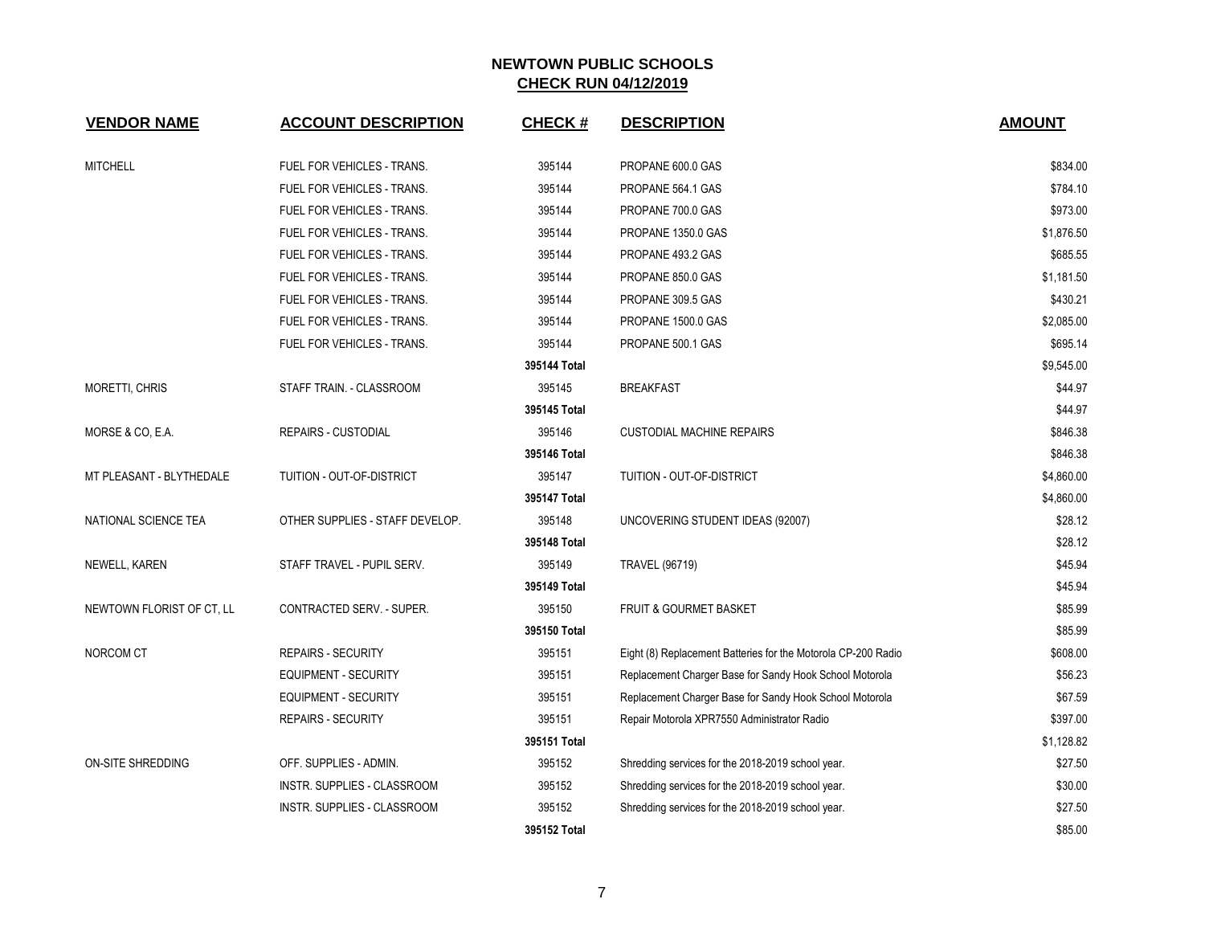| <b>VENDOR NAME</b>        | <b>ACCOUNT DESCRIPTION</b>         | <b>CHECK#</b> | <b>DESCRIPTION</b>                                            | <b>AMOUNT</b> |
|---------------------------|------------------------------------|---------------|---------------------------------------------------------------|---------------|
| <b>MITCHELL</b>           | FUEL FOR VEHICLES - TRANS.         | 395144        | PROPANE 600.0 GAS                                             | \$834.00      |
|                           | FUEL FOR VEHICLES - TRANS.         | 395144        | PROPANE 564.1 GAS                                             | \$784.10      |
|                           | FUEL FOR VEHICLES - TRANS.         | 395144        | PROPANE 700.0 GAS                                             | \$973.00      |
|                           | FUEL FOR VEHICLES - TRANS.         | 395144        | PROPANE 1350.0 GAS                                            | \$1,876.50    |
|                           | FUEL FOR VEHICLES - TRANS.         | 395144        | PROPANE 493.2 GAS                                             | \$685.55      |
|                           | <b>FUEL FOR VEHICLES - TRANS.</b>  | 395144        | PROPANE 850.0 GAS                                             | \$1,181.50    |
|                           | <b>FUEL FOR VEHICLES - TRANS.</b>  | 395144        | PROPANE 309.5 GAS                                             | \$430.21      |
|                           | FUEL FOR VEHICLES - TRANS.         | 395144        | PROPANE 1500.0 GAS                                            | \$2,085.00    |
|                           | FUEL FOR VEHICLES - TRANS.         | 395144        | PROPANE 500.1 GAS                                             | \$695.14      |
|                           |                                    | 395144 Total  |                                                               | \$9,545.00    |
| MORETTI, CHRIS            | STAFF TRAIN. - CLASSROOM           | 395145        | <b>BREAKFAST</b>                                              | \$44.97       |
|                           |                                    | 395145 Total  |                                                               | \$44.97       |
| MORSE & CO, E.A.          | <b>REPAIRS - CUSTODIAL</b>         | 395146        | <b>CUSTODIAL MACHINE REPAIRS</b>                              | \$846.38      |
|                           |                                    | 395146 Total  |                                                               | \$846.38      |
| MT PLEASANT - BLYTHEDALE  | TUITION - OUT-OF-DISTRICT          | 395147        | TUITION - OUT-OF-DISTRICT                                     | \$4,860.00    |
|                           |                                    | 395147 Total  |                                                               | \$4,860.00    |
| NATIONAL SCIENCE TEA      | OTHER SUPPLIES - STAFF DEVELOP.    | 395148        | UNCOVERING STUDENT IDEAS (92007)                              | \$28.12       |
|                           |                                    | 395148 Total  |                                                               | \$28.12       |
| NEWELL, KAREN             | STAFF TRAVEL - PUPIL SERV.         | 395149        | <b>TRAVEL (96719)</b>                                         | \$45.94       |
|                           |                                    | 395149 Total  |                                                               | \$45.94       |
| NEWTOWN FLORIST OF CT, LL | CONTRACTED SERV. - SUPER.          | 395150        | <b>FRUIT &amp; GOURMET BASKET</b>                             | \$85.99       |
|                           |                                    | 395150 Total  |                                                               | \$85.99       |
| NORCOM CT                 | <b>REPAIRS - SECURITY</b>          | 395151        | Eight (8) Replacement Batteries for the Motorola CP-200 Radio | \$608.00      |
|                           | <b>EQUIPMENT - SECURITY</b>        | 395151        | Replacement Charger Base for Sandy Hook School Motorola       | \$56.23       |
|                           | <b>EQUIPMENT - SECURITY</b>        | 395151        | Replacement Charger Base for Sandy Hook School Motorola       | \$67.59       |
|                           | <b>REPAIRS - SECURITY</b>          | 395151        | Repair Motorola XPR7550 Administrator Radio                   | \$397.00      |
|                           |                                    | 395151 Total  |                                                               | \$1,128.82    |
| ON-SITE SHREDDING         | OFF. SUPPLIES - ADMIN.             | 395152        | Shredding services for the 2018-2019 school year.             | \$27.50       |
|                           | INSTR. SUPPLIES - CLASSROOM        | 395152        | Shredding services for the 2018-2019 school year.             | \$30.00       |
|                           | <b>INSTR. SUPPLIES - CLASSROOM</b> | 395152        | Shredding services for the 2018-2019 school year.             | \$27.50       |
|                           |                                    | 395152 Total  |                                                               | \$85.00       |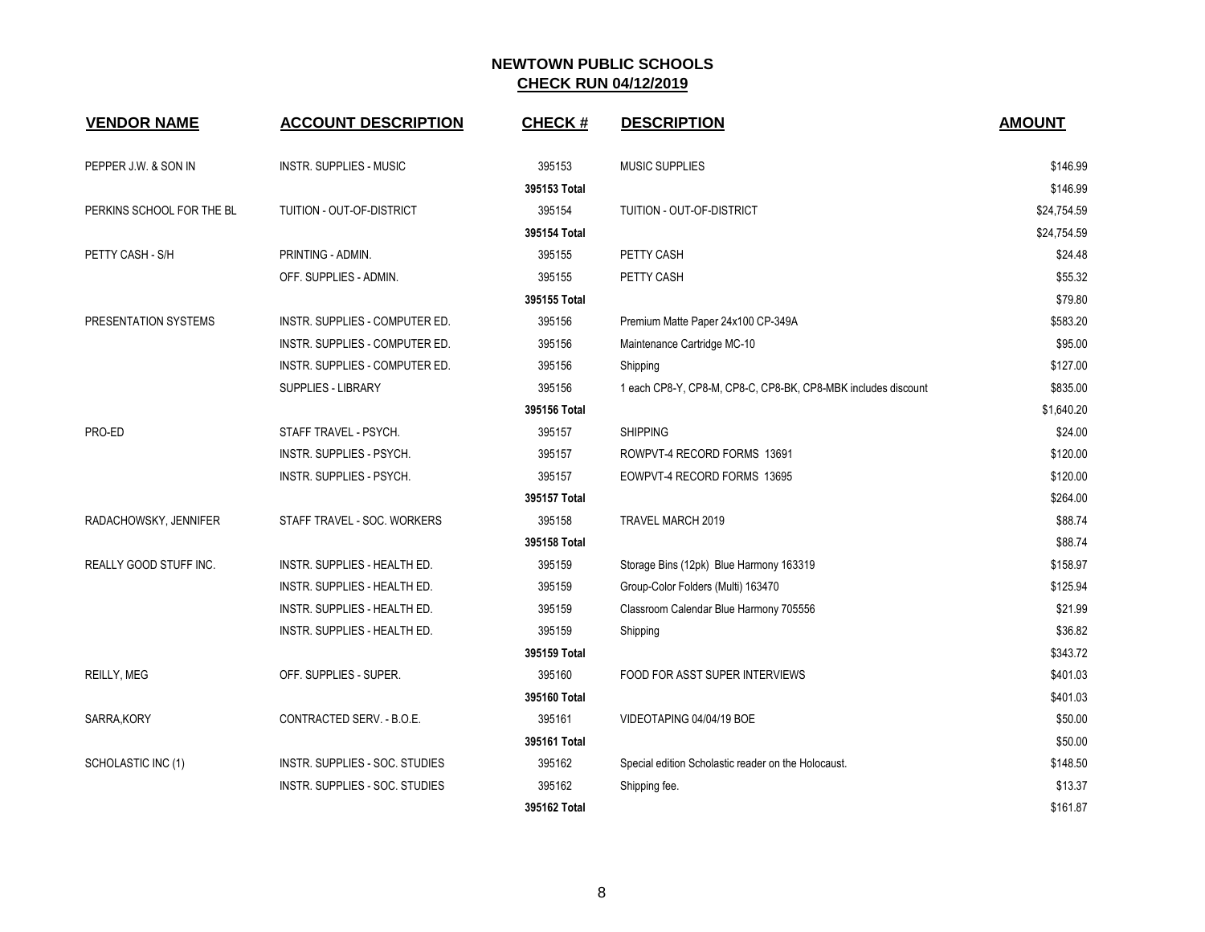| <b>VENDOR NAME</b>        | <b>ACCOUNT DESCRIPTION</b>          | <b>CHECK#</b> | <b>DESCRIPTION</b>                                            | <b>AMOUNT</b> |
|---------------------------|-------------------------------------|---------------|---------------------------------------------------------------|---------------|
| PEPPER J.W. & SON IN      | <b>INSTR. SUPPLIES - MUSIC</b>      | 395153        | <b>MUSIC SUPPLIES</b>                                         | \$146.99      |
|                           |                                     | 395153 Total  |                                                               | \$146.99      |
| PERKINS SCHOOL FOR THE BL | <b>TUITION - OUT-OF-DISTRICT</b>    | 395154        | TUITION - OUT-OF-DISTRICT                                     | \$24,754.59   |
|                           |                                     | 395154 Total  |                                                               | \$24,754.59   |
| PETTY CASH - S/H          | PRINTING - ADMIN.                   | 395155        | PETTY CASH                                                    | \$24.48       |
|                           | OFF. SUPPLIES - ADMIN.              | 395155        | PETTY CASH                                                    | \$55.32       |
|                           |                                     | 395155 Total  |                                                               | \$79.80       |
| PRESENTATION SYSTEMS      | INSTR. SUPPLIES - COMPUTER ED.      | 395156        | Premium Matte Paper 24x100 CP-349A                            | \$583.20      |
|                           | INSTR. SUPPLIES - COMPUTER ED.      | 395156        | Maintenance Cartridge MC-10                                   | \$95.00       |
|                           | INSTR. SUPPLIES - COMPUTER ED.      | 395156        | Shipping                                                      | \$127.00      |
|                           | <b>SUPPLIES - LIBRARY</b>           | 395156        | 1 each CP8-Y, CP8-M, CP8-C, CP8-BK, CP8-MBK includes discount | \$835.00      |
|                           |                                     | 395156 Total  |                                                               | \$1,640.20    |
| PRO-ED                    | STAFF TRAVEL - PSYCH.               | 395157        | <b>SHIPPING</b>                                               | \$24.00       |
|                           | INSTR. SUPPLIES - PSYCH.            | 395157        | ROWPVT-4 RECORD FORMS 13691                                   | \$120.00      |
|                           | INSTR. SUPPLIES - PSYCH.            | 395157        | EOWPVT-4 RECORD FORMS 13695                                   | \$120.00      |
|                           |                                     | 395157 Total  |                                                               | \$264.00      |
| RADACHOWSKY, JENNIFER     | STAFF TRAVEL - SOC. WORKERS         | 395158        | <b>TRAVEL MARCH 2019</b>                                      | \$88.74       |
|                           |                                     | 395158 Total  |                                                               | \$88.74       |
| REALLY GOOD STUFF INC.    | <b>INSTR. SUPPLIES - HEALTH ED.</b> | 395159        | Storage Bins (12pk) Blue Harmony 163319                       | \$158.97      |
|                           | INSTR. SUPPLIES - HEALTH ED.        | 395159        | Group-Color Folders (Multi) 163470                            | \$125.94      |
|                           | INSTR. SUPPLIES - HEALTH ED.        | 395159        | Classroom Calendar Blue Harmony 705556                        | \$21.99       |
|                           | INSTR. SUPPLIES - HEALTH ED.        | 395159        | Shipping                                                      | \$36.82       |
|                           |                                     | 395159 Total  |                                                               | \$343.72      |
| <b>REILLY, MEG</b>        | OFF. SUPPLIES - SUPER.              | 395160        | FOOD FOR ASST SUPER INTERVIEWS                                | \$401.03      |
|                           |                                     | 395160 Total  |                                                               | \$401.03      |
| SARRA, KORY               | CONTRACTED SERV. - B.O.E.           | 395161        | VIDEOTAPING 04/04/19 BOE                                      | \$50.00       |
|                           |                                     | 395161 Total  |                                                               | \$50.00       |
| SCHOLASTIC INC (1)        | INSTR. SUPPLIES - SOC. STUDIES      | 395162        | Special edition Scholastic reader on the Holocaust.           | \$148.50      |
|                           | INSTR. SUPPLIES - SOC. STUDIES      | 395162        | Shipping fee.                                                 | \$13.37       |
|                           |                                     | 395162 Total  |                                                               | \$161.87      |